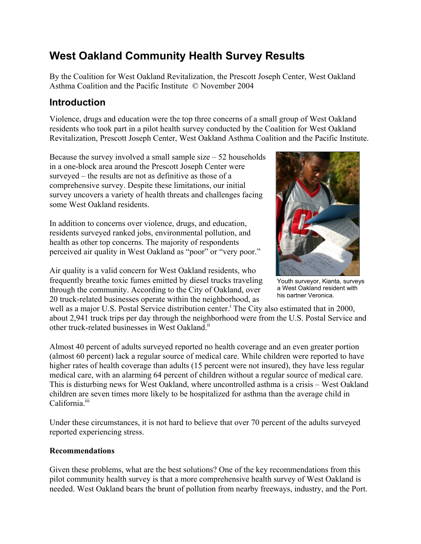# **West Oakland Community Health Survey Results**

By the Coalition for West Oakland Revitalization, the Prescott Joseph Center, West Oakland Asthma Coalition and the Pacific Institute © November 2004

## **Introduction**

Violence, drugs and education were the top three concerns of a small group of West Oakland residents who took part in a pilot health survey conducted by the Coalition for West Oakland Revitalization, Prescott Joseph Center, West Oakland Asthma Coalition and the Pacific Institute.

Because the survey involved a small sample size  $-52$  households in a one-block area around the Prescott Joseph Center were surveyed – the results are not as definitive as those of a comprehensive survey. Despite these limitations, our initial survey uncovers a variety of health threats and challenges facing some West Oakland residents.

In addition to concerns over violence, drugs, and education, residents surveyed ranked jobs, environmental pollution, and health as other top concerns. The majority of respondents perceived air quality in West Oakland as "poor" or "very poor."

Air quality is a valid concern for West Oakland residents, who frequently breathe toxic fumes emitted by diesel trucks traveling through the community. According to the City of Oakland, over 20 truck-related businesses operate within the neighborhood, as



Youth surveyor, Kianta, surveys a West Oakland resident with his partner Veronica.

well as a major U.S. Postal Service distribution center.<sup>i</sup> The City also estimated that in 2000, about 2,941 truck trips per day through the neighborhood were from the U.S. Postal Service and other truck-related businesses in West Oakland<sup>ii</sup>

Almost 40 percent of adults surveyed reported no health coverage and an even greater portion (almost 60 percent) lack a regular source of medical care. While children were reported to have higher rates of health coverage than adults (15 percent were not insured), they have less regular medical care, with an alarming 64 percent of children without a regular source of medical care. This is disturbing news for West Oakland, where uncontrolled asthma is a crisis – West Oakland children are seven times more likely to be hospitalized for asthma than the average child in California<sup>iii</sup>

Under these circumstances, it is not hard to believe that over 70 percent of the adults surveyed reported experiencing stress.

### **Recommendations**

Given these problems, what are the best solutions? One of the key recommendations from this pilot community health survey is that a more comprehensive health survey of West Oakland is needed. West Oakland bears the brunt of pollution from nearby freeways, industry, and the Port.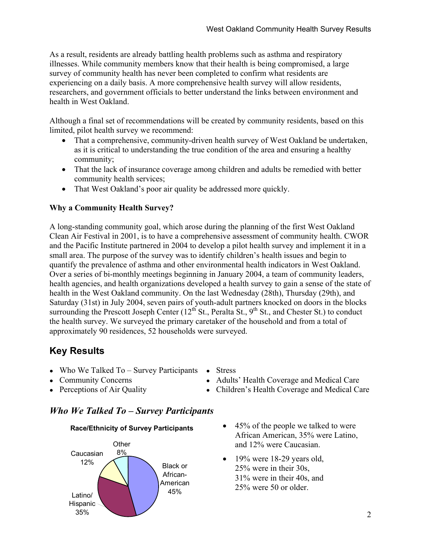As a result, residents are already battling health problems such as asthma and respiratory illnesses. While community members know that their health is being compromised, a large survey of community health has never been completed to confirm what residents are experiencing on a daily basis. A more comprehensive health survey will allow residents, researchers, and government officials to better understand the links between environment and health in West Oakland.

Although a final set of recommendations will be created by community residents, based on this limited, pilot health survey we recommend:

- That a comprehensive, community-driven health survey of West Oakland be undertaken, as it is critical to understanding the true condition of the area and ensuring a healthy community;
- That the lack of insurance coverage among children and adults be remedied with better community health services;
- That West Oakland's poor air quality be addressed more quickly.

### **Why a Community Health Survey?**

A long-standing community goal, which arose during the planning of the first West Oakland Clean Air Festival in 2001, is to have a comprehensive assessment of community health. CWOR and the Pacific Institute partnered in 2004 to develop a pilot health survey and implement it in a small area. The purpose of the survey was to identify children's health issues and begin to quantify the prevalence of asthma and other environmental health indicators in West Oakland. Over a series of bi-monthly meetings beginning in January 2004, a team of community leaders, health agencies, and health organizations developed a health survey to gain a sense of the state of health in the West Oakland community. On the last Wednesday (28th), Thursday (29th), and Saturday (31st) in July 2004, seven pairs of youth-adult partners knocked on doors in the blocks surrounding the Prescott Joseph Center  $(12<sup>th</sup> St., Peralta St., 9<sup>th</sup> St., and Chester St.)$  to conduct the health survey. We surveyed the primary caretaker of the household and from a total of approximately 90 residences, 52 households were surveyed.

# **Key Results**

- Who We Talked To Survey Participants Stress
- 
- 
- Community Concerns Adults' Health Coverage and Medical Care
- Perceptions of Air Quality Children's Health Coverage and Medical Care

### *Who We Talked To – Survey Participants*

#### **Race/Ethnicity of Survey Participants**



- 45% of the people we talked to were African American, 35% were Latino, and 12% were Caucasian.
- $\bullet$  19% were 18-29 years old, 25% were in their 30s, 31% were in their 40s, and 25% were 50 or older.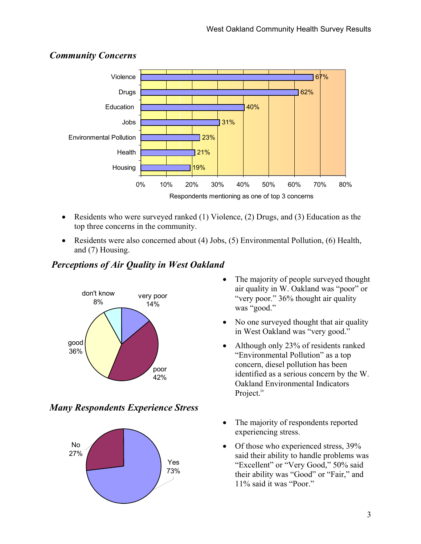

### *Community Concerns*

- Residents who were surveyed ranked (1) Violence, (2) Drugs, and (3) Education as the top three concerns in the community.
- Residents were also concerned about (4) Jobs, (5) Environmental Pollution, (6) Health, and (7) Housing.

### *Perceptions of Air Quality in West Oakland*



### *Many Respondents Experience Stress*



- The majority of people surveyed thought air quality in W. Oakland was "poor" or "very poor." 36% thought air quality was "good."
- No one surveyed thought that air quality in West Oakland was "very good."
- Although only 23% of residents ranked "Environmental Pollution" as a top concern, diesel pollution has been identified as a serious concern by the W. Oakland Environmental Indicators Project.<sup>iv</sup>
- The majority of respondents reported experiencing stress.
- Of those who experienced stress, 39% said their ability to handle problems was "Excellent" or "Very Good," 50% said their ability was "Good" or "Fair," and 11% said it was "Poor."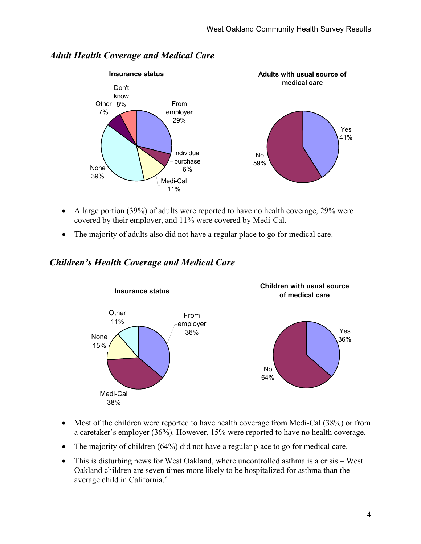

### *Adult Health Coverage and Medical Care*

- A large portion (39%) of adults were reported to have no health coverage, 29% were covered by their employer, and 11% were covered by Medi-Cal.
- The majority of adults also did not have a regular place to go for medical care.

### *Children's Health Coverage and Medical Care*



- Most of the children were reported to have health coverage from Medi-Cal (38%) or from a caretaker's employer (36%). However, 15% were reported to have no health coverage.
- The majority of children (64%) did not have a regular place to go for medical care.
- This is disturbing news for West Oakland, where uncontrolled asthma is a crisis West Oakland children are seven times more likely to be hospitalized for asthma than the average child in California.<sup>v</sup>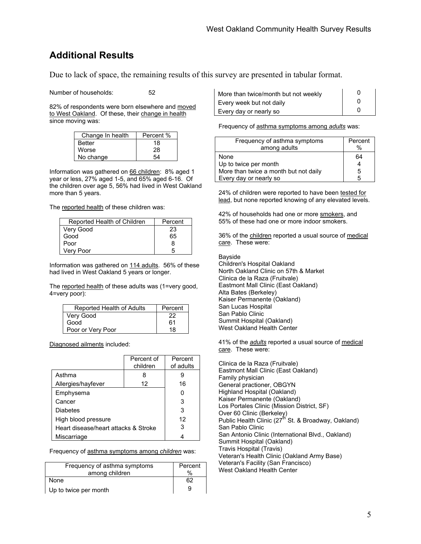# **Additional Results**

Due to lack of space, the remaining results of this survey are presented in tabular format.

Number of households: 52

82% of respondents were born elsewhere and moved to West Oakland. Of these, their change in health since moving was:

| Change In health | Percent % |
|------------------|-----------|
| <b>Better</b>    | 18        |
| Worse            | 28        |
| No change        | 54        |

Information was gathered on 66 children: 8% aged 1 year or less, 27% aged 1-5, and 65% aged 6-16. Of the children over age 5, 56% had lived in West Oakland more than 5 years.

The reported health of these children was:

| Reported Health of Children | Percent |
|-----------------------------|---------|
| Very Good                   | 23      |
| Good                        | 65      |
| Poor                        | 8       |
| Very Poor                   | 5       |

Information was gathered on 114 adults. 56% of these had lived in West Oakland 5 years or longer.

The reported health of these adults was (1=very good, 4=very poor):

| Reported Health of Adults | Percent |
|---------------------------|---------|
| Very Good                 | 22      |
| Good                      | 61      |
| Poor or Very Poor         | 18      |

Diagnosed ailments included:

|                                      | Percent of<br>children | Percent<br>of adults |
|--------------------------------------|------------------------|----------------------|
| Asthma                               |                        |                      |
| Allergies/hayfever                   | 12                     | 16                   |
| Emphysema                            |                        | ი                    |
| Cancer                               |                        | 3                    |
| Diabetes                             |                        | 3                    |
| High blood pressure                  |                        | 12                   |
| Heart disease/heart attacks & Stroke |                        | 3                    |
| Miscarriage                          |                        |                      |

Frequency of asthma symptoms among *children* was:

| Frequency of asthma symptoms | Percent |
|------------------------------|---------|
| among children               | $\%$    |
| None                         | 62      |
| Up to twice per month        | q       |

| More than twice/month but not weekly |  |
|--------------------------------------|--|
| Every week but not daily             |  |
| Every day or nearly so               |  |

Frequency of asthma symptoms among *adults* was:

| Frequency of asthma symptoms          | Percent |
|---------------------------------------|---------|
| among adults                          | %       |
| None                                  | 64      |
| Up to twice per month                 |         |
| More than twice a month but not daily | 5       |
| Every day or nearly so                | г,      |

24% of children were reported to have been tested for lead, but none reported knowing of any elevated levels.

42% of households had one or more smokers, and 55% of these had one or more indoor smokers.

36% of the children reported a usual source of medical care. These were:

Bayside Children's Hospital Oakland North Oakland Clinic on 57th & Market Clinica de la Raza (Fruitvale) Eastmont Mall Clinic (East Oakland) Alta Bates (Berkeley) Kaiser Permanente (Oakland) San Lucas Hospital San Pablo Clinic Summit Hospital (Oakland) West Oakland Health Center

41% of the *adults* reported a usual source of medical care. These were:

Clinica de la Raza (Fruitvale) Eastmont Mall Clinic (East Oakland) Family physician General practioner, OBGYN Highland Hospital (Oakland) Kaiser Permanente (Oakland) Los Portales Clinic (Mission District, SF) Over 60 Clinic (Berkeley) Public Health Clinic (27<sup>th</sup> St. & Broadway, Oakland) San Pablo Clinic San Antonio Clinic (International Blvd., Oakland) Summit Hospital (Oakland) Travis Hospital (Travis) Veteran's Health Clinic (Oakland Army Base) Veteran's Facility (San Francisco) West Oakland Health Center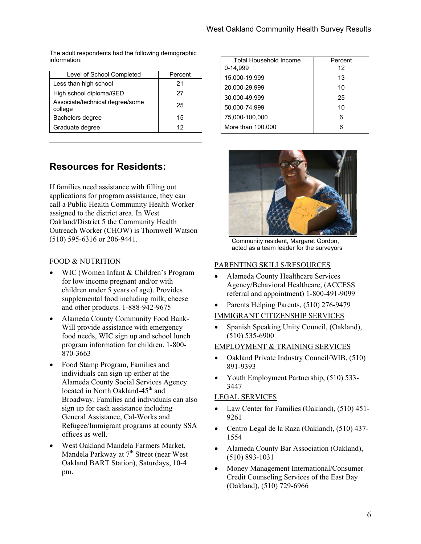The adult respondents had the following demographic information:

| Level of School Completed                  | Percent |
|--------------------------------------------|---------|
| Less than high school                      | 21      |
| High school diploma/GED                    | 27      |
| Associate/technical degree/some<br>college | 25      |
| Bachelors degree                           | 15      |
| Graduate degree                            | 12      |

# **Resources for Residents:**

If families need assistance with filling out applications for program assistance, they can call a Public Health Community Health Worker assigned to the district area. In West Oakland/District 5 the Community Health Outreach Worker (CHOW) is Thornwell Watson (510) 595-6316 or 206-9441.

#### FOOD & NUTRITION

- WIC (Women Infant & Children's Program for low income pregnant and/or with children under 5 years of age). Provides supplemental food including milk, cheese and other products. 1-888-942-9675
- Alameda County Community Food Bank-Will provide assistance with emergency food needs, WIC sign up and school lunch program information for children. 1-800- 870-3663
- Food Stamp Program, Families and individuals can sign up either at the Alameda County Social Services Agency located in North Oakland-45<sup>th</sup> and Broadway. Families and individuals can also sign up for cash assistance including General Assistance, Cal-Works and Refugee/Immigrant programs at county SSA offices as well.
- West Oakland Mandela Farmers Market, Mandela Parkway at  $7<sup>th</sup>$  Street (near West) Oakland BART Station), Saturdays, 10-4 pm.

| Total Household Income | Percent |
|------------------------|---------|
| 0-14,999               | 12      |
| 15,000-19,999          | 13      |
| 20,000-29,999          | 10      |
| 30,000-49,999          | 25      |
| 50,000-74,999          | 10      |
| 75,000-100,000         | 6       |
| More than 100,000      | 6       |



Community resident, Margaret Gordon, acted as a team leader for the surveyors

#### PARENTING SKILLS/RESOURCES

- Alameda County Healthcare Services Agency/Behavioral Healthcare, (ACCESS referral and appointment) 1-800-491-9099
- Parents Helping Parents,  $(510)$  276-9479
- IMMIGRANT CITIZENSHIP SERVICES
- Spanish Speaking Unity Council, (Oakland), (510) 535-6900

#### EMPLOYMENT & TRAINING SERVICES

- Oakland Private Industry Council/WIB, (510) 891-9393
- Youth Employment Partnership, (510) 533- 3447

#### LEGAL SERVICES

- Law Center for Families (Oakland), (510) 451-9261
- Centro Legal de la Raza (Oakland), (510) 437- 1554
- Alameda County Bar Association (Oakland), (510) 893-1031
- Money Management International/Consumer Credit Counseling Services of the East Bay (Oakland), (510) 729-6966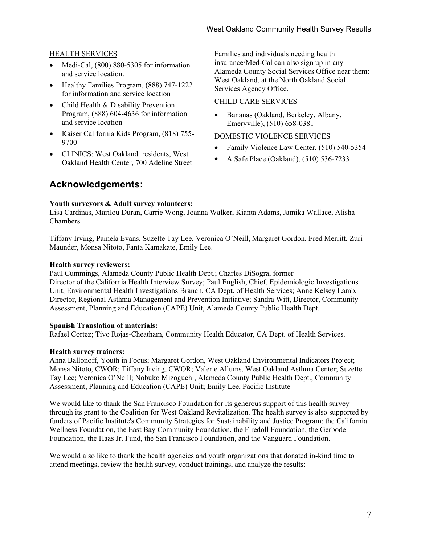#### HEALTH SERVICES

- Medi-Cal, (800) 880-5305 for information and service location.
- Healthy Families Program, (888) 747-1222 for information and service location
- Child Health & Disability Prevention Program, (888) 604-4636 for information and service location
- Kaiser California Kids Program, (818) 755- 9700
- CLINICS: West Oakland residents, West Oakland Health Center, 700 Adeline Street

Families and individuals needing health insurance/Med-Cal can also sign up in any Alameda County Social Services Office near them: West Oakland, at the North Oakland Social Services Agency Office.

#### CHILD CARE SERVICES

• Bananas (Oakland, Berkeley, Albany, Emeryville), (510) 658-0381

#### DOMESTIC VIOLENCE SERVICES

- Family Violence Law Center, (510) 540-5354
- A Safe Place (Oakland), (510) 536-7233

### **Acknowledgements:**

#### **Youth surveyors & Adult survey volunteers:**

Lisa Cardinas, Marilou Duran, Carrie Wong, Joanna Walker, Kianta Adams, Jamika Wallace, Alisha Chambers.

Tiffany Irving, Pamela Evans, Suzette Tay Lee, Veronica O'Neill, Margaret Gordon, Fred Merritt, Zuri Maunder, Monsa Nitoto, Fanta Kamakate, Emily Lee.

#### **Health survey reviewers:**

Paul Cummings, Alameda County Public Health Dept.; Charles DiSogra, former Director of the California Health Interview Survey; Paul English, Chief, Epidemiologic Investigations Unit, Environmental Health Investigations Branch, CA Dept. of Health Services; Anne Kelsey Lamb, Director, Regional Asthma Management and Prevention Initiative; Sandra Witt, Director, Community Assessment, Planning and Education (CAPE) Unit, Alameda County Public Health Dept.

#### **Spanish Translation of materials:**

Rafael Cortez; Tivo Rojas-Cheatham, Community Health Educator, CA Dept. of Health Services.

#### **Health survey trainers:**

Ahna Ballonoff, Youth in Focus; Margaret Gordon, West Oakland Environmental Indicators Project; Monsa Nitoto, CWOR; Tiffany Irving, CWOR; Valerie Allums, West Oakland Asthma Center; Suzette Tay Lee; Veronica O'Neill; Nobuko Mizoguchi, Alameda County Public Health Dept., Community Assessment, Planning and Education (CAPE) Unit**;** Emily Lee, Pacific Institute

We would like to thank the San Francisco Foundation for its generous support of this health survey through its grant to the Coalition for West Oakland Revitalization. The health survey is also supported by funders of Pacific Institute's Community Strategies for Sustainability and Justice Program: the California Wellness Foundation, the East Bay Community Foundation, the Firedoll Foundation, the Gerbode Foundation, the Haas Jr. Fund, the San Francisco Foundation, and the Vanguard Foundation.

We would also like to thank the health agencies and youth organizations that donated in-kind time to attend meetings, review the health survey, conduct trainings, and analyze the results: